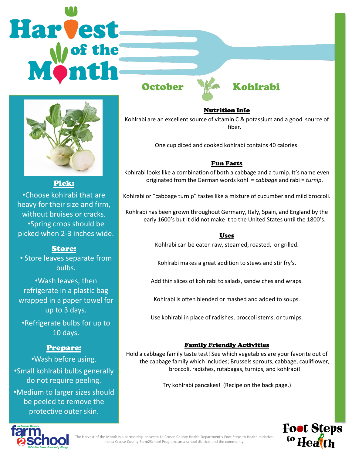# Har Vest



# October Wa Kohlrabi



Pick:

•Choose kohlrabi that are heavy for their size and firm, without bruises or cracks. •Spring crops should be picked when 2-3 inches wide.

# Store:

• Store leaves separate from bulbs.

•Wash leaves, then refrigerate in a plastic bag wrapped in a paper towel for up to 3 days.

•Refrigerate bulbs for up to 10 days.

## Prepare:

•Wash before using. •Small kohlrabi bulbs generally do not require peeling. •Medium to larger sizes should be peeled to remove the protective outer skin.

Nutrition Info

Kohlrabi are an excellent source of vitamin C & potassium and a good source of fiber.

One cup diced and cooked kohlrabi contains 40 calories.

## Fun Facts

Kohlrabi looks like a combination of both a cabbage and a turnip. It's name even originated from the German words kohl = *cabbage* and rabi = *turnip*.

Kohlrabi or "cabbage turnip" tastes like a mixture of cucumber and mild broccoli.

Kohlrabi has been grown throughout Germany, Italy, Spain, and England by the early 1600's but it did not make it to the United States until the 1800's.

#### Uses

Kohlrabi can be eaten raw, steamed, roasted, or grilled.

Kohlrabi makes a great addition to stews and stir fry's.

Add thin slices of kohlrabi to salads, sandwiches and wraps.

Kohlrabi is often blended or mashed and added to soups.

Use kohlrabi in place of radishes, broccoli stems, or turnips.

#### Family Friendly Activities

Hold a cabbage family taste test! See which vegetables are your favorite out of the cabbage family which includes; Brussels sprouts, cabbage, cauliflower, broccoli, radishes, rutabagas, turnips, and kohlrabi!

Try kohlrabi pancakes! (Recipe on the back page.)